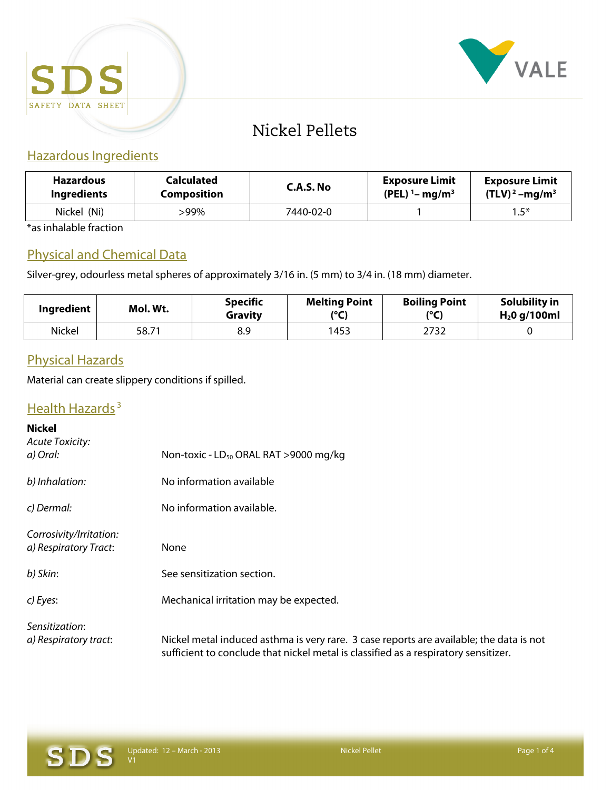



# Nickel Pellets

## Hazardous Ingredients

| <b>Hazardous</b>   | Calculated         | C.A.S. No | <b>Exposure Limit</b>                   | <b>Exposure Limit</b> |
|--------------------|--------------------|-----------|-----------------------------------------|-----------------------|
| <b>Ingredients</b> | <b>Composition</b> |           | $(PEL)$ <sup>1</sup> -mg/m <sup>3</sup> | $(TLV)^2 - mg/m^3$    |
| Nickel (Ni)        | $.99\%$            | 7440-02-0 |                                         | $1.5^*$               |

\*as inhalable fraction

## Physical and Chemical Data

Silver-grey, odourless metal spheres of approximately 3/16 in. (5 mm) to 3/4 in. (18 mm) diameter.

| Ingredient | Mol. Wt. | <b>Specific</b><br>Gravity | <b>Melting Point</b><br>(°C) | <b>Boiling Point</b><br>(°C) | Solubility in<br>$H20$ g/100ml |
|------------|----------|----------------------------|------------------------------|------------------------------|--------------------------------|
| Nickel     | 58.71    | 8.9                        | 1453                         | 2732                         |                                |

#### Physical Hazards

Material can create slippery conditions if spilled.

# Health Hazards<sup>3</sup>

| <b>Nickel</b><br><b>Acute Toxicity:</b>          |                                                                                                                                                                                |  |
|--------------------------------------------------|--------------------------------------------------------------------------------------------------------------------------------------------------------------------------------|--|
| a) Oral:                                         | Non-toxic - LD <sub>50</sub> ORAL RAT >9000 mg/kg                                                                                                                              |  |
| b) Inhalation:                                   | No information available                                                                                                                                                       |  |
| c) Dermal:                                       | No information available.                                                                                                                                                      |  |
| Corrosivity/Irritation:<br>a) Respiratory Tract: | None                                                                                                                                                                           |  |
| b) Skin:                                         | See sensitization section.                                                                                                                                                     |  |
| c) Eyes:                                         | Mechanical irritation may be expected.                                                                                                                                         |  |
| Sensitization:<br>a) Respiratory tract:          | Nickel metal induced asthma is very rare. 3 case reports are available; the data is not<br>sufficient to conclude that nickel metal is classified as a respiratory sensitizer. |  |

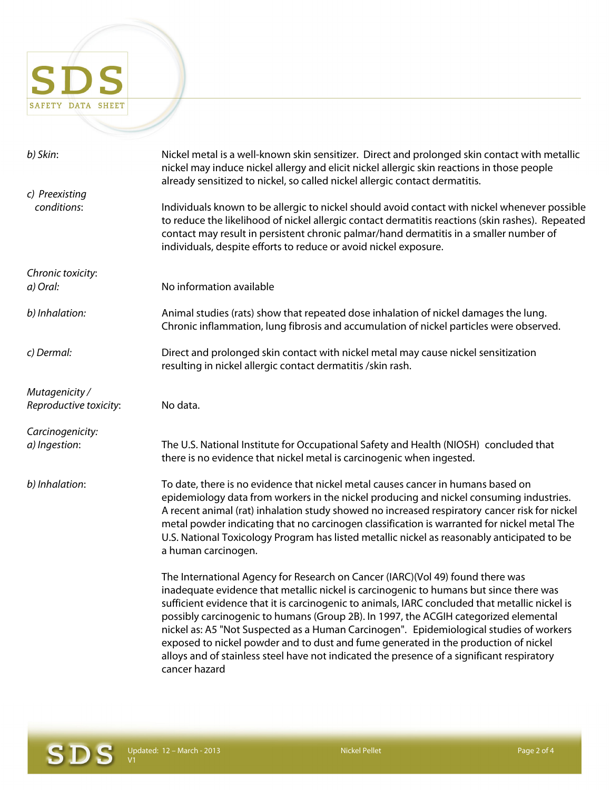# SDS SAFETY DATA SHEET

| b) Skin:                                 | Nickel metal is a well-known skin sensitizer. Direct and prolonged skin contact with metallic<br>nickel may induce nickel allergy and elicit nickel allergic skin reactions in those people<br>already sensitized to nickel, so called nickel allergic contact dermatitis.                                                                                                                                                                                                                                                                                                                                                                                          |  |
|------------------------------------------|---------------------------------------------------------------------------------------------------------------------------------------------------------------------------------------------------------------------------------------------------------------------------------------------------------------------------------------------------------------------------------------------------------------------------------------------------------------------------------------------------------------------------------------------------------------------------------------------------------------------------------------------------------------------|--|
| c) Preexisting<br>conditions:            | Individuals known to be allergic to nickel should avoid contact with nickel whenever possible<br>to reduce the likelihood of nickel allergic contact dermatitis reactions (skin rashes). Repeated<br>contact may result in persistent chronic palmar/hand dermatitis in a smaller number of                                                                                                                                                                                                                                                                                                                                                                         |  |
|                                          | individuals, despite efforts to reduce or avoid nickel exposure.                                                                                                                                                                                                                                                                                                                                                                                                                                                                                                                                                                                                    |  |
| Chronic toxicity:<br>a) Oral:            | No information available                                                                                                                                                                                                                                                                                                                                                                                                                                                                                                                                                                                                                                            |  |
| b) Inhalation:                           | Animal studies (rats) show that repeated dose inhalation of nickel damages the lung.<br>Chronic inflammation, lung fibrosis and accumulation of nickel particles were observed.                                                                                                                                                                                                                                                                                                                                                                                                                                                                                     |  |
| c) Dermal:                               | Direct and prolonged skin contact with nickel metal may cause nickel sensitization<br>resulting in nickel allergic contact dermatitis / skin rash.                                                                                                                                                                                                                                                                                                                                                                                                                                                                                                                  |  |
| Mutagenicity /<br>Reproductive toxicity: | No data.                                                                                                                                                                                                                                                                                                                                                                                                                                                                                                                                                                                                                                                            |  |
| Carcinogenicity:<br>a) Ingestion:        | The U.S. National Institute for Occupational Safety and Health (NIOSH) concluded that<br>there is no evidence that nickel metal is carcinogenic when ingested.                                                                                                                                                                                                                                                                                                                                                                                                                                                                                                      |  |
| b) Inhalation:                           | To date, there is no evidence that nickel metal causes cancer in humans based on<br>epidemiology data from workers in the nickel producing and nickel consuming industries.<br>A recent animal (rat) inhalation study showed no increased respiratory cancer risk for nickel<br>metal powder indicating that no carcinogen classification is warranted for nickel metal The<br>U.S. National Toxicology Program has listed metallic nickel as reasonably anticipated to be<br>a human carcinogen.                                                                                                                                                                   |  |
|                                          | The International Agency for Research on Cancer (IARC)(Vol 49) found there was<br>inadequate evidence that metallic nickel is carcinogenic to humans but since there was<br>sufficient evidence that it is carcinogenic to animals, IARC concluded that metallic nickel is<br>possibly carcinogenic to humans (Group 2B). In 1997, the ACGIH categorized elemental<br>nickel as: A5 "Not Suspected as a Human Carcinogen". Epidemiological studies of workers<br>exposed to nickel powder and to dust and fume generated in the production of nickel<br>alloys and of stainless steel have not indicated the presence of a significant respiratory<br>cancer hazard |  |

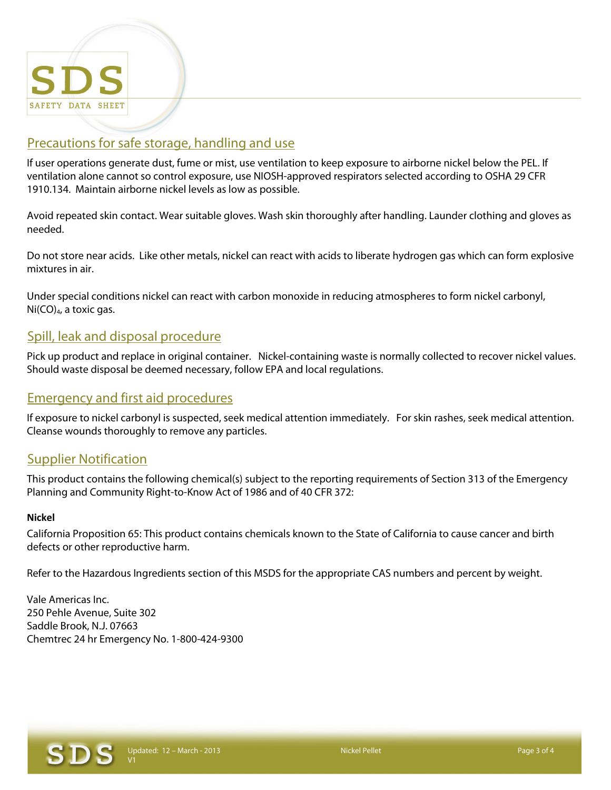

#### Precautions for safe storage, handling and use

If user operations generate dust, fume or mist, use ventilation to keep exposure to airborne nickel below the PEL. If ventilation alone cannot so control exposure, use NIOSH-approved respirators selected according to OSHA 29 CFR 1910.134. Maintain airborne nickel levels as low as possible.

Avoid repeated skin contact. Wear suitable gloves. Wash skin thoroughly after handling. Launder clothing and gloves as needed.

Do not store near acids. Like other metals, nickel can react with acids to liberate hydrogen gas which can form explosive mixtures in air.

Under special conditions nickel can react with carbon monoxide in reducing atmospheres to form nickel carbonyl,  $Ni(CO)<sub>4</sub>$ , a toxic gas.

#### Spill, leak and disposal procedure

Pick up product and replace in original container. Nickel-containing waste is normally collected to recover nickel values. Should waste disposal be deemed necessary, follow EPA and local regulations.

#### Emergency and first aid procedures

If exposure to nickel carbonyl is suspected, seek medical attention immediately. For skin rashes, seek medical attention. Cleanse wounds thoroughly to remove any particles.

#### Supplier Notification

This product contains the following chemical(s) subject to the reporting requirements of Section 313 of the Emergency Planning and Community Right-to-Know Act of 1986 and of 40 CFR 372:

#### **Nickel**

California Proposition 65: This product contains chemicals known to the State of California to cause cancer and birth defects or other reproductive harm.

Refer to the Hazardous Ingredients section of this MSDS for the appropriate CAS numbers and percent by weight.

Vale Americas Inc. 250 Pehle Avenue, Suite 302 Saddle Brook, N.J. 07663 Chemtrec 24 hr Emergency No. 1-800-424-9300